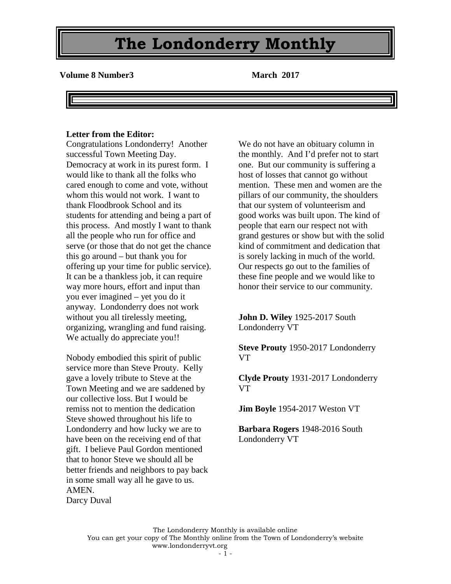**Volume 8 Number3 March 2017** 

#### **Letter from the Editor:**

Congratulations Londonderry! Another successful Town Meeting Day. Democracy at work in its purest form. I would like to thank all the folks who cared enough to come and vote, without whom this would not work. I want to thank Floodbrook School and its students for attending and being a part of this process. And mostly I want to thank all the people who run for office and serve (or those that do not get the chance this go around – but thank you for offering up your time for public service). It can be a thankless job, it can require way more hours, effort and input than you ever imagined – yet you do it anyway. Londonderry does not work without you all tirelessly meeting, organizing, wrangling and fund raising. We actually do appreciate you!!

Nobody embodied this spirit of public service more than Steve Prouty. Kelly gave a lovely tribute to Steve at the Town Meeting and we are saddened by our collective loss. But I would be remiss not to mention the dedication Steve showed throughout his life to Londonderry and how lucky we are to have been on the receiving end of that gift. I believe Paul Gordon mentioned that to honor Steve we should all be better friends and neighbors to pay back in some small way all he gave to us. AMEN. Darcy Duval

We do not have an obituary column in the monthly. And I'd prefer not to start one. But our community is suffering a host of losses that cannot go without mention. These men and women are the pillars of our community, the shoulders that our system of volunteerism and good works was built upon. The kind of people that earn our respect not with grand gestures or show but with the solid kind of commitment and dedication that is sorely lacking in much of the world. Our respects go out to the families of these fine people and we would like to honor their service to our community.

**John D. Wiley** 1925-2017 South Londonderry VT

**Steve Prouty** 1950-2017 Londonderry VT

**Clyde Prouty** 1931-2017 Londonderry VT

**Jim Boyle** 1954-2017 Weston VT

**Barbara Rogers** 1948-2016 South Londonderry VT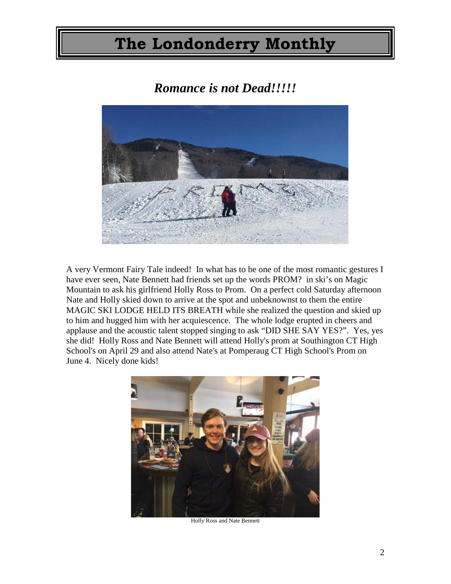### *Romance is not Dead!!!!!*



A very Vermont Fairy Tale indeed! In what has to be one of the most romantic gestures I have ever seen, Nate Bennett had friends set up the words PROM? in ski's on Magic Mountain to ask his girlfriend Holly Ross to Prom. On a perfect cold Saturday afternoon Nate and Holly skied down to arrive at the spot and unbeknownst to them the entire MAGIC SKI LODGE HELD ITS BREATH while she realized the question and skied up to him and hugged him with her acquiescence. The whole lodge erupted in cheers and applause and the acoustic talent stopped singing to ask "DID SHE SAY YES?". Yes, yes she did! Holly Ross and Nate Bennett will attend Holly's prom at Southington CT High School's on April 29 and also attend Nate's at Pomperaug CT High School's Prom on June 4. Nicely done kids!



Holly Ross and Nate Bennett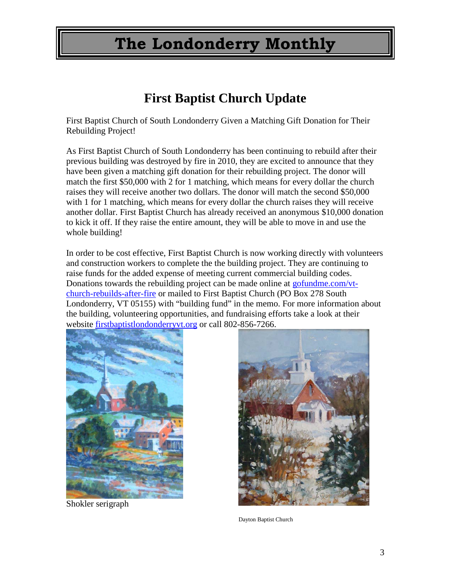### **First Baptist Church Update**

First Baptist Church of South Londonderry Given a Matching Gift Donation for Their Rebuilding Project!

As First Baptist Church of South Londonderry has been continuing to rebuild after their previous building was destroyed by fire in 2010, they are excited to announce that they have been given a matching gift donation for their rebuilding project. The donor will match the first \$50,000 with 2 for 1 matching, which means for every dollar the church raises they will receive another two dollars. The donor will match the second \$50,000 with 1 for 1 matching, which means for every dollar the church raises they will receive another dollar. First Baptist Church has already received an anonymous \$10,000 donation to kick it off. If they raise the entire amount, they will be able to move in and use the whole building!

In order to be cost effective, First Baptist Church is now working directly with volunteers and construction workers to complete the the building project. They are continuing to raise funds for the added expense of meeting current commercial building codes. Donations towards the rebuilding project can be made online at [gofundme.com/vt](http://gofundme.com/vt-church-rebuilds-after-fire)[church-rebuilds-after-fire](http://gofundme.com/vt-church-rebuilds-after-fire) or mailed to First Baptist Church (PO Box 278 South Londonderry, VT 05155) with "building fund" in the memo. For more information about the building, volunteering opportunities, and fundraising efforts take a look at their website [firstbaptistlondonderryvt.org](http://firstbaptistlondonderryvt.org/) or call 802-856-7266.



Shokler serigraph



Dayton Baptist Church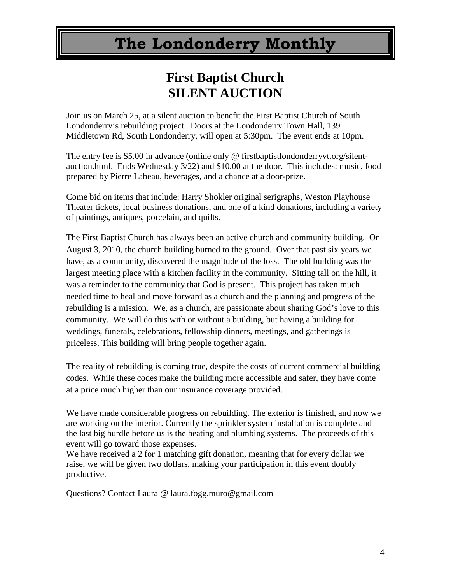### **First Baptist Church SILENT AUCTION**

Join us on March 25, at a silent auction to benefit the First Baptist Church of South Londonderry's rebuilding project. Doors at the Londonderry Town Hall, 139 Middletown Rd, South Londonderry, will open at 5:30pm. The event ends at 10pm.

The entry fee is \$5.00 in advance (online only @ firstbaptistlondonderryvt.org/silentauction.html. Ends Wednesday 3/22) and \$10.00 at the door. This includes: music, food prepared by Pierre Labeau, beverages, and a chance at a door-prize.

Come bid on items that include: Harry Shokler original serigraphs, Weston Playhouse Theater tickets, local business donations, and one of a kind donations, including a variety of paintings, antiques, porcelain, and quilts.

The First Baptist Church has always been an active church and community building. On August 3, 2010, the church building burned to the ground. Over that past six years we have, as a community, discovered the magnitude of the loss. The old building was the largest meeting place with a kitchen facility in the community. Sitting tall on the hill, it was a reminder to the community that God is present. This project has taken much needed time to heal and move forward as a church and the planning and progress of the rebuilding is a mission. We, as a church, are passionate about sharing God's love to this community. We will do this with or without a building, but having a building for weddings, funerals, celebrations, fellowship dinners, meetings, and gatherings is priceless. This building will bring people together again.

The reality of rebuilding is coming true, despite the costs of current commercial building codes. While these codes make the building more accessible and safer, they have come at a price much higher than our insurance coverage provided.

We have made considerable progress on rebuilding. The exterior is finished, and now we are working on the interior. Currently the sprinkler system installation is complete and the last big hurdle before us is the heating and plumbing systems. The proceeds of this event will go toward those expenses.

We have received a 2 for 1 matching gift donation, meaning that for every dollar we raise, we will be given two dollars, making your participation in this event doubly productive.

Questions? Contact Laura @ laura.fogg.muro@gmail.com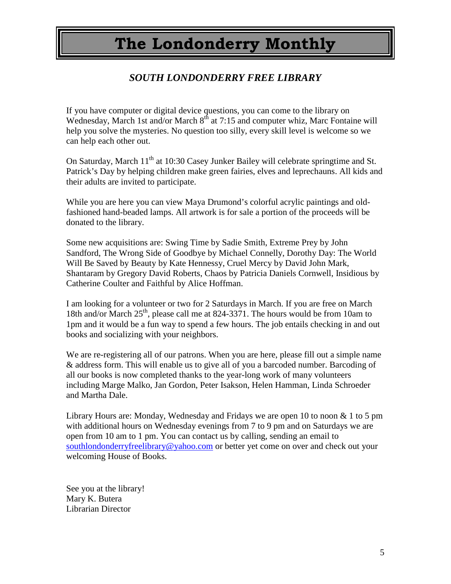### *SOUTH LONDONDERRY FREE LIBRARY*

If you have computer or digital device questions, you can come to the library on Wednesday, March 1st and/or March 8<sup>th</sup> at 7:15 and computer whiz, Marc Fontaine will help you solve the mysteries. No question too silly, every skill level is welcome so we can help each other out.

On Saturday, March  $11<sup>th</sup>$  at 10:30 Casey Junker Bailey will celebrate springtime and St. Patrick's Day by helping children make green fairies, elves and leprechauns. All kids and their adults are invited to participate.

While you are here you can view Maya Drumond's colorful acrylic paintings and oldfashioned hand-beaded lamps. All artwork is for sale a portion of the proceeds will be donated to the library.

Some new acquisitions are: Swing Time by Sadie Smith, Extreme Prey by John Sandford, The Wrong Side of Goodbye by Michael Connelly, Dorothy Day: The World Will Be Saved by Beauty by Kate Hennessy, Cruel Mercy by David John Mark, Shantaram by Gregory David Roberts, Chaos by Patricia Daniels Cornwell, Insidious by Catherine Coulter and Faithful by Alice Hoffman.

I am looking for a volunteer or two for 2 Saturdays in March. If you are free on March 18th and/or March 25<sup>th</sup>, please call me at 824-3371. The hours would be from 10am to 1pm and it would be a fun way to spend a few hours. The job entails checking in and out books and socializing with your neighbors.

We are re-registering all of our patrons. When you are here, please fill out a simple name & address form. This will enable us to give all of you a barcoded number. Barcoding of all our books is now completed thanks to the year-long work of many volunteers including Marge Malko, Jan Gordon, Peter Isakson, Helen Hamman, Linda Schroeder and Martha Dale.

Library Hours are: Monday, Wednesday and Fridays we are open 10 to noon & 1 to 5 pm with additional hours on Wednesday evenings from 7 to 9 pm and on Saturdays we are open from 10 am to 1 pm. You can contact us by calling, sending an email to [southlondonderryfreelibrary@yahoo.com](mailto:southlondonderryfreelibrary@yahoo.com) or better yet come on over and check out your welcoming House of Books.

See you at the library! Mary K. Butera Librarian Director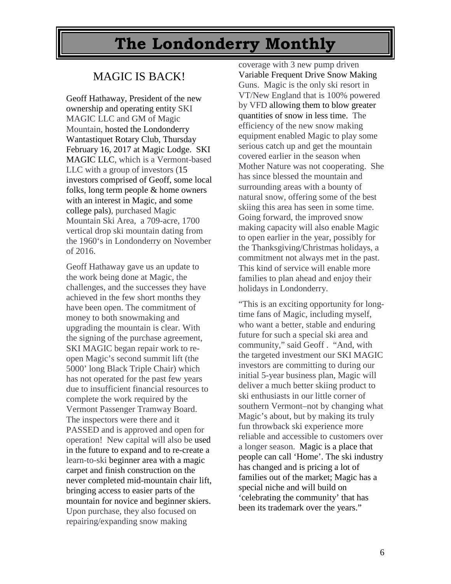### MAGIC IS BACK!

Geoff Hathaway, President of the new ownership and operating entity SKI MAGIC LLC and GM of Magic Mountain, hosted the Londonderry Wantastiquet Rotary Club, Thursday February 16, 2017 at Magic Lodge. SKI MAGIC LLC, which is a Vermont-based LLC with a group of investors (15 investors comprised of Geoff, some local folks, long term people & home owners with an interest in Magic, and some college pals), purchased Magic Mountain Ski Area, a 709-acre, 1700 vertical drop ski mountain dating from the 1960's in Londonderry on November of 2016.

Geoff Hathaway gave us an update to the work being done at Magic, the challenges, and the successes they have achieved in the few short months they have been open. The commitment of money to both snowmaking and upgrading the mountain is clear. With the signing of the purchase agreement, SKI MAGIC began repair work to reopen Magic's second summit lift (the 5000' long Black Triple Chair) which has not operated for the past few years due to insufficient financial resources to complete the work required by the Vermont Passenger Tramway Board. The inspectors were there and it PASSED and is approved and open for operation! New capital will also be used in the future to expand and to re-create a learn-to-ski beginner area with a magic carpet and finish construction on the never completed mid-mountain chair lift, bringing access to easier parts of the mountain for novice and beginner skiers. Upon purchase, they also focused on repairing/expanding snow making

coverage with 3 new pump driven Variable Frequent Drive Snow Making Guns. Magic is the only ski resort in VT/New England that is 100% powered by VFD allowing them to blow greater quantities of snow in less time. The efficiency of the new snow making equipment enabled Magic to play some serious catch up and get the mountain covered earlier in the season when Mother Nature was not cooperating. She has since blessed the mountain and surrounding areas with a bounty of natural snow, offering some of the best skiing this area has seen in some time. Going forward, the improved snow making capacity will also enable Magic to open earlier in the year, possibly for the Thanksgiving/Christmas holidays, a commitment not always met in the past. This kind of service will enable more families to plan ahead and enjoy their holidays in Londonderry.

"This is an exciting opportunity for longtime fans of Magic, including myself, who want a better, stable and enduring future for such a special ski area and community," said Geoff . "And, with the targeted investment our SKI MAGIC investors are committing to during our initial 5-year business plan, Magic will deliver a much better skiing product to ski enthusiasts in our little corner of southern Vermont–not by changing what Magic's about, but by making its truly fun throwback ski experience more reliable and accessible to customers over a longer season. Magic is a place that people can call 'Home'. The ski industry has changed and is pricing a lot of families out of the market; Magic has a special niche and will build on 'celebrating the community' that has been its trademark over the years."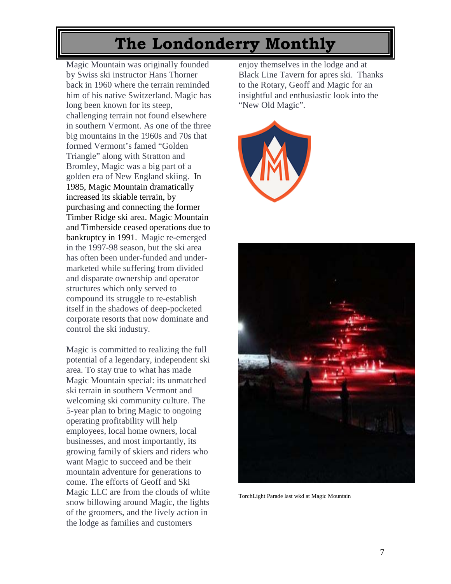Magic Mountain was originally founded by Swiss ski instructor Hans Thorner back in 1960 where the terrain reminded him of his native Switzerland. Magic has long been known for its steep, challenging terrain not found elsewhere in southern Vermont. As one of the three big mountains in the 1960s and 70s that formed Vermont's famed "Golden Triangle" along with Stratton and Bromley, Magic was a big part of a golden era of New England skiing. In 1985, Magic Mountain dramatically increased its skiable terrain, by purchasing and connecting the former Timber Ridge ski area. Magic Mountain and Timberside ceased operations due to bankruptcy in 1991. Magic re-emerged in the 1997-98 season, but the ski area has often been under-funded and undermarketed while suffering from divided and disparate ownership and operator structures which only served to compound its struggle to re-establish itself in the shadows of deep-pocketed corporate resorts that now dominate and control the ski industry.

Magic is committed to realizing the full potential of a legendary, independent ski area. To stay true to what has made Magic Mountain special: its unmatched ski terrain in southern Vermont and welcoming ski community culture. The 5-year plan to bring Magic to ongoing operating profitability will help employees, local home owners, local businesses, and most importantly, its growing family of skiers and riders who want Magic to succeed and be their mountain adventure for generations to come. The efforts of Geoff and Ski Magic LLC are from the clouds of white snow billowing around Magic, the lights of the groomers, and the lively action in the lodge as families and customers

enjoy themselves in the lodge and at Black Line Tavern for apres ski. Thanks to the Rotary, Geoff and Magic for an insightful and enthusiastic look into the "New Old Magic".





TorchLight Parade last wkd at Magic Mountain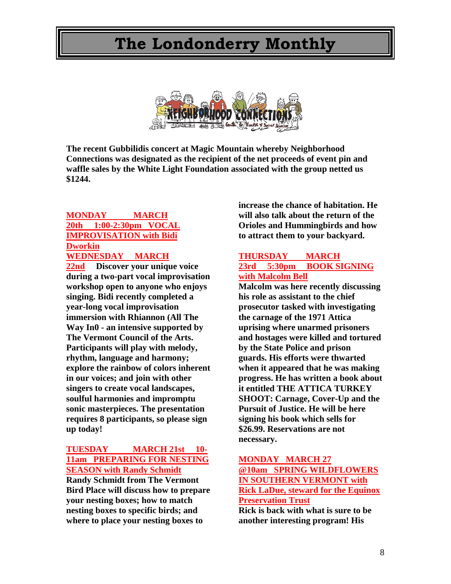

**The recent Gubbilidis concert at Magic Mountain whereby Neighborhood Connections was designated as the recipient of the net proceeds of event pin and waffle sales by the White Light Foundation associated with the group netted us \$1244.** 

#### **MONDAY MARCH 20th 1:00-2:30pm VOCAL IMPROVISATION with Bidi Dworkin WEDNESDAY MARCH**

**22nd Discover your unique voice during a two-part vocal improvisation workshop open to anyone who enjoys singing. Bidi recently completed a year-long vocal improvisation immersion with Rhiannon (All The Way In0 - an intensive supported by The Vermont Council of the Arts. Participants will play with melody, rhythm, language and harmony; explore the rainbow of colors inherent in our voices; and join with other singers to create vocal landscapes, soulful harmonies and impromptu sonic masterpieces. The presentation requires 8 participants, so please sign up today!**

#### **TUESDAY MARCH 21st 10- 11am PREPARING FOR NESTING SEASON with Randy Schmidt**

**Randy Schmidt from The Vermont Bird Place will discuss how to prepare your nesting boxes; how to match nesting boxes to specific birds; and where to place your nesting boxes to** 

**increase the chance of habitation. He will also talk about the return of the Orioles and Hummingbirds and how to attract them to your backyard.**

#### **THURSDAY MARCH 23rd 5:30pm BOOK SIGNING with Malcolm Bell**

**Malcolm was here recently discussing his role as assistant to the chief prosecutor tasked with investigating the carnage of the 1971 Attica uprising where unarmed prisoners and hostages were killed and tortured by the State Police and prison guards. His efforts were thwarted when it appeared that he was making progress. He has written a book about it entitled THE ATTICA TURKEY SHOOT: Carnage, Cover-Up and the Pursuit of Justice. He will be here signing his book which sells for \$26.99. Reservations are not necessary.**

#### **MONDAY MARCH 27 @10am SPRING WILDFLOWERS IN SOUTHERN VERMONT with Rick LaDue, steward for the Equinox Preservation Trust**

**Rick is back with what is sure to be another interesting program! His**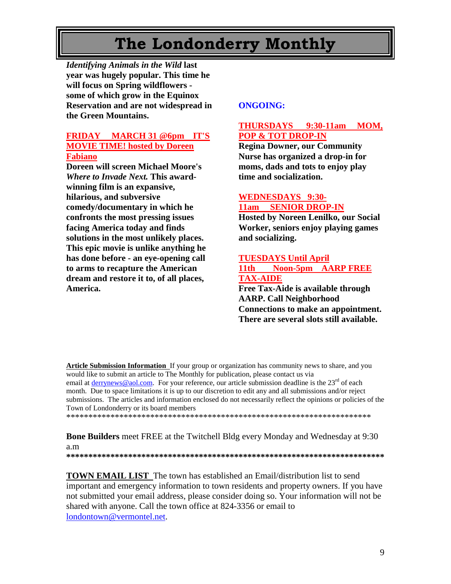*Identifying Animals in the Wild* **last year was hugely popular. This time he will focus on Spring wildflowers some of which grow in the Equinox Reservation and are not widespread in the Green Mountains.**

#### **FRIDAY MARCH 31 @6pm IT'S MOVIE TIME! hosted by Doreen Fabiano**

**Doreen will screen Michael Moore's**  *Where to Invade Next.* **This awardwinning film is an expansive, hilarious, and subversive comedy/documentary in which he confronts the most pressing issues facing America today and finds solutions in the most unlikely places. This epic movie is unlike anything he has done before - an eye-opening call to arms to recapture the American dream and restore it to, of all places, America.**

#### **ONGOING:**

#### **THURSDAYS 9:30-11am MOM, POP & TOT DROP-IN**

**Regina Downer, our Community Nurse has organized a drop-in for moms, dads and tots to enjoy play time and socialization.**

#### **WEDNESDAYS 9:30- 11am SENIOR DROP-IN**

**Hosted by Noreen Lenilko, our Social Worker, seniors enjoy playing games and socializing.**

#### **TUESDAYS Until April 11th Noon-5pm AARP FREE TAX-AIDE**

**Free Tax-Aide is available through AARP. Call Neighborhood Connections to make an appointment. There are several slots still available.**

**Article Submission Information** If your group or organization has community news to share, and you would like to submit an article to The Monthly for publication, please contact us via email at [derrynews@aol.com.](mailto:derrynews@aol.com) For your reference, our article submission deadline is the  $23<sup>rd</sup>$  of each month. Due to space limitations it is up to our discretion to edit any and all submissions and/or reject submissions. The articles and information enclosed do not necessarily reflect the opinions or policies of the Town of Londonderry or its board members

\*\*\*\*\*\*\*\*\*\*\*\*\*\*\*\*\*\*\*\*\*\*\*\*\*\*\*\*\*\*\*\*\*\*\*\*\*\*\*\*\*\*\*\*\*\*\*\*\*\*\*\*\*\*\*\*\*\*\*\*\*\*\*\*\*\*\*\*\*

**Bone Builders** meet FREE at the Twitchell Bldg every Monday and Wednesday at 9:30 a.m **\*\*\*\*\*\*\*\*\*\*\*\*\*\*\*\*\*\*\*\*\*\*\*\*\*\*\*\*\*\*\*\*\*\*\*\*\*\*\*\*\*\*\*\*\*\*\*\*\*\*\*\*\*\*\*\*\*\*\*\*\*\*\*\*\*\*\*\*\*\*\*\***

**TOWN EMAIL LIST** The town has established an Email/distribution list to send important and emergency information to town residents and property owners. If you have not submitted your email address, please consider doing so. Your information will not be shared with anyone. Call the town office at 824-3356 or email to [londontown@vermontel.net.](mailto:londontown@vermontel.net)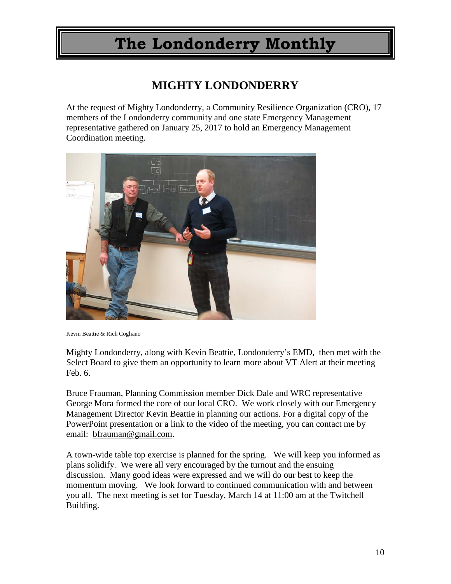### **MIGHTY LONDONDERRY**

At the request of Mighty Londonderry, a Community Resilience Organization (CRO), 17 members of the Londonderry community and one state Emergency Management representative gathered on January 25, 2017 to hold an Emergency Management Coordination meeting.



Kevin Beattie & Rich Cogliano

Mighty Londonderry, along with Kevin Beattie, Londonderry's EMD, then met with the Select Board to give them an opportunity to learn more about VT Alert at their meeting Feb. 6.

Bruce Frauman, Planning Commission member Dick Dale and WRC representative George Mora formed the core of our local CRO. We work closely with our Emergency Management Director Kevin Beattie in planning our actions. For a digital copy of the PowerPoint presentation or a link to the video of the meeting, you can contact me by email: [bfrauman@gmail.com.](mailto:bfrauman@gmail.com)

A town-wide table top exercise is planned for the spring. We will keep you informed as plans solidify. We were all very encouraged by the turnout and the ensuing discussion. Many good ideas were expressed and we will do our best to keep the momentum moving. We look forward to continued communication with and between you all. The next meeting is set for Tuesday, March 14 at 11:00 am at the Twitchell Building.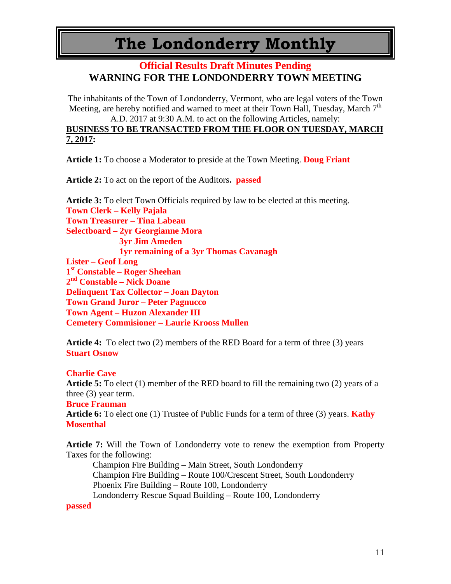### **Official Results Draft Minutes Pending WARNING FOR THE LONDONDERRY TOWN MEETING**

The inhabitants of the Town of Londonderry, Vermont, who are legal voters of the Town Meeting, are hereby notified and warned to meet at their Town Hall, Tuesday, March  $7<sup>th</sup>$ A.D. 2017 at 9:30 A.M. to act on the following Articles, namely:

### **BUSINESS TO BE TRANSACTED FROM THE FLOOR ON TUESDAY, MARCH 7, 2017:**

**Article 1:** To choose a Moderator to preside at the Town Meeting. **Doug Friant** 

**Article 2:** To act on the report of the Auditors**. passed**

**Article 3:** To elect Town Officials required by law to be elected at this meeting. **Town Clerk – Kelly Pajala Town Treasurer – Tina Labeau Selectboard – 2yr Georgianne Mora 3yr Jim Ameden 1yr remaining of a 3yr Thomas Cavanagh Lister – Geof Long 1st Constable – Roger Sheehan 2nd Constable – Nick Doane Delinquent Tax Collector – Joan Dayton Town Grand Juror – Peter Pagnucco Town Agent – Huzon Alexander III Cemetery Commisioner – Laurie Krooss Mullen**

**Article 4:** To elect two (2) members of the RED Board for a term of three (3) years **Stuart Osnow**

#### **Charlie Cave**

**Article 5:** To elect (1) member of the RED board to fill the remaining two (2) years of a three (3) year term.

#### **Bruce Frauman**

**Article 6:** To elect one (1) Trustee of Public Funds for a term of three (3) years. **Kathy Mosenthal**

**Article 7:** Will the Town of Londonderry vote to renew the exemption from Property Taxes for the following:

Champion Fire Building – Main Street, South Londonderry Champion Fire Building – Route 100/Crescent Street, South Londonderry Phoenix Fire Building – Route 100, Londonderry Londonderry Rescue Squad Building – Route 100, Londonderry

#### **passed**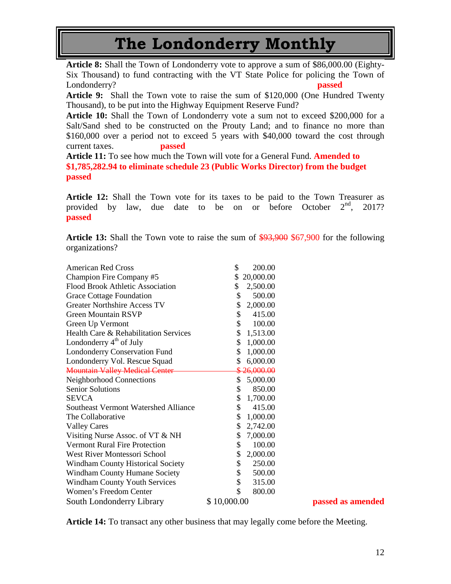**Article 8:** Shall the Town of Londonderry vote to approve a sum of \$86,000.00 (Eighty-Six Thousand) to fund contracting with the VT State Police for policing the Town of Londonderry? **passed**

**Article 9:** Shall the Town vote to raise the sum of \$120,000 (One Hundred Twenty Thousand), to be put into the Highway Equipment Reserve Fund?

**Article 10:** Shall the Town of Londonderry vote a sum not to exceed \$200,000 for a Salt/Sand shed to be constructed on the Prouty Land; and to finance no more than \$160,000 over a period not to exceed 5 years with \$40,000 toward the cost through current taxes. **passed**

**Article 11:** To see how much the Town will vote for a General Fund. **Amended to \$1,785,282.94 to eliminate schedule 23 (Public Works Director) from the budget passed**

**Article 12:** Shall the Town vote for its taxes to be paid to the Town Treasurer as provided by law, due date to be on or before October  $2<sup>nd</sup>$ , 2017? **passed**

**Article 13:** Shall the Town vote to raise the sum of \$93,900 \$67,900 for the following organizations?

| <b>American Red Cross</b>                   | \$<br>200.00    |
|---------------------------------------------|-----------------|
| Champion Fire Company #5                    | \$<br>20,000.00 |
| <b>Flood Brook Athletic Association</b>     | \$<br>2,500.00  |
| <b>Grace Cottage Foundation</b>             | \$<br>500.00    |
| <b>Greater Northshire Access TV</b>         | \$<br>2,000.00  |
| <b>Green Mountain RSVP</b>                  | \$<br>415.00    |
| Green Up Vermont                            | \$<br>100.00    |
| Health Care & Rehabilitation Services       | \$<br>1,513.00  |
| Londonderry 4 <sup>th</sup> of July         | \$<br>1,000.00  |
| <b>Londonderry Conservation Fund</b>        | \$<br>1,000.00  |
| Londonderry Vol. Rescue Squad               | \$<br>6,000.00  |
| <b>Mountain Valley Medical Center</b>       | \$26,000.00     |
| Neighborhood Connections                    | \$<br>5,000.00  |
| <b>Senior Solutions</b>                     | \$<br>850.00    |
| <b>SEVCA</b>                                | \$<br>1,700.00  |
| <b>Southeast Vermont Watershed Alliance</b> | \$<br>415.00    |
| The Collaborative                           | \$<br>1,000.00  |
| <b>Valley Cares</b>                         | \$<br>2,742.00  |
| Visiting Nurse Assoc. of VT & NH            | \$<br>7,000.00  |
| <b>Vermont Rural Fire Protection</b>        | \$<br>100.00    |
| West River Montessori School                | \$<br>2,000.00  |
| <b>Windham County Historical Society</b>    | \$<br>250.00    |
| <b>Windham County Humane Society</b>        | \$<br>500.00    |
| <b>Windham County Youth Services</b>        | \$<br>315.00    |
| Women's Freedom Center                      | \$<br>800.00    |
| South Londonderry Library                   | \$10,000.00     |

passed as amended

**Article 14:** To transact any other business that may legally come before the Meeting.